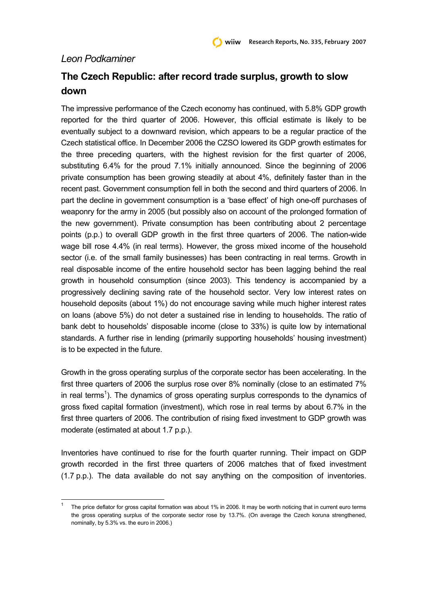## *Leon Podkaminer*

l

## **The Czech Republic: after record trade surplus, growth to slow down**

The impressive performance of the Czech economy has continued, with 5.8% GDP growth reported for the third quarter of 2006. However, this official estimate is likely to be eventually subject to a downward revision, which appears to be a regular practice of the Czech statistical office. In December 2006 the CZSO lowered its GDP growth estimates for the three preceding quarters, with the highest revision for the first quarter of 2006, substituting 6.4% for the proud 7.1% initially announced. Since the beginning of 2006 private consumption has been growing steadily at about 4%, definitely faster than in the recent past. Government consumption fell in both the second and third quarters of 2006. In part the decline in government consumption is a 'base effect' of high one-off purchases of weaponry for the army in 2005 (but possibly also on account of the prolonged formation of the new government). Private consumption has been contributing about 2 percentage points (p.p.) to overall GDP growth in the first three quarters of 2006. The nation-wide wage bill rose 4.4% (in real terms). However, the gross mixed income of the household sector (i.e. of the small family businesses) has been contracting in real terms. Growth in real disposable income of the entire household sector has been lagging behind the real growth in household consumption (since 2003). This tendency is accompanied by a progressively declining saving rate of the household sector. Very low interest rates on household deposits (about 1%) do not encourage saving while much higher interest rates on loans (above 5%) do not deter a sustained rise in lending to households. The ratio of bank debt to households' disposable income (close to 33%) is quite low by international standards. A further rise in lending (primarily supporting households' housing investment) is to be expected in the future.

Growth in the gross operating surplus of the corporate sector has been accelerating. In the first three quarters of 2006 the surplus rose over 8% nominally (close to an estimated 7% in real terms<sup>1</sup>). The dynamics of gross operating surplus corresponds to the dynamics of gross fixed capital formation (investment), which rose in real terms by about 6.7% in the first three quarters of 2006. The contribution of rising fixed investment to GDP growth was moderate (estimated at about 1.7 p.p.).

Inventories have continued to rise for the fourth quarter running. Their impact on GDP growth recorded in the first three quarters of 2006 matches that of fixed investment (1.7 p.p.). The data available do not say anything on the composition of inventories.

<sup>1</sup> The price deflator for gross capital formation was about 1% in 2006. It may be worth noticing that in current euro terms the gross operating surplus of the corporate sector rose by 13.7%. (On average the Czech koruna strengthened, nominally, by 5.3% vs. the euro in 2006.)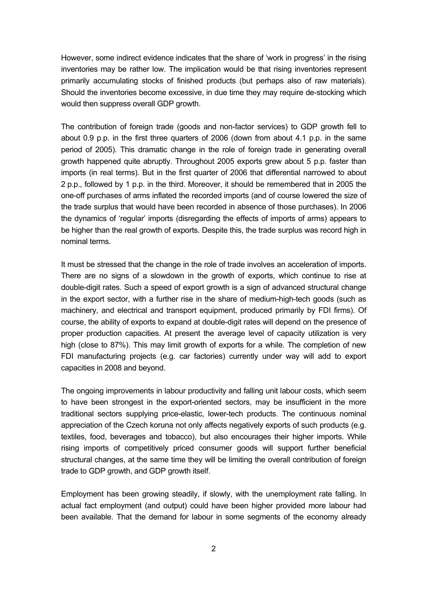However, some indirect evidence indicates that the share of 'work in progress' in the rising inventories may be rather low. The implication would be that rising inventories represent primarily accumulating stocks of finished products (but perhaps also of raw materials). Should the inventories become excessive, in due time they may require de-stocking which would then suppress overall GDP growth.

The contribution of foreign trade (goods and non-factor services) to GDP growth fell to about 0.9 p.p. in the first three quarters of 2006 (down from about 4.1 p.p. in the same period of 2005). This dramatic change in the role of foreign trade in generating overall growth happened quite abruptly. Throughout 2005 exports grew about 5 p.p. faster than imports (in real terms). But in the first quarter of 2006 that differential narrowed to about 2 p.p., followed by 1 p.p. in the third. Moreover, it should be remembered that in 2005 the one-off purchases of arms inflated the recorded imports (and of course lowered the size of the trade surplus that would have been recorded in absence of those purchases). In 2006 the dynamics of 'regular' imports (disregarding the effects of imports of arms) appears to be higher than the real growth of exports. Despite this, the trade surplus was record high in nominal terms.

It must be stressed that the change in the role of trade involves an acceleration of imports. There are no signs of a slowdown in the growth of exports, which continue to rise at double-digit rates. Such a speed of export growth is a sign of advanced structural change in the export sector, with a further rise in the share of medium-high-tech goods (such as machinery, and electrical and transport equipment, produced primarily by FDI firms). Of course, the ability of exports to expand at double-digit rates will depend on the presence of proper production capacities. At present the average level of capacity utilization is very high (close to 87%). This may limit growth of exports for a while. The completion of new FDI manufacturing projects (e.g. car factories) currently under way will add to export capacities in 2008 and beyond.

The ongoing improvements in labour productivity and falling unit labour costs, which seem to have been strongest in the export-oriented sectors, may be insufficient in the more traditional sectors supplying price-elastic, lower-tech products. The continuous nominal appreciation of the Czech koruna not only affects negatively exports of such products (e.g. textiles, food, beverages and tobacco), but also encourages their higher imports. While rising imports of competitively priced consumer goods will support further beneficial structural changes, at the same time they will be limiting the overall contribution of foreign trade to GDP growth, and GDP growth itself.

Employment has been growing steadily, if slowly, with the unemployment rate falling. In actual fact employment (and output) could have been higher provided more labour had been available. That the demand for labour in some segments of the economy already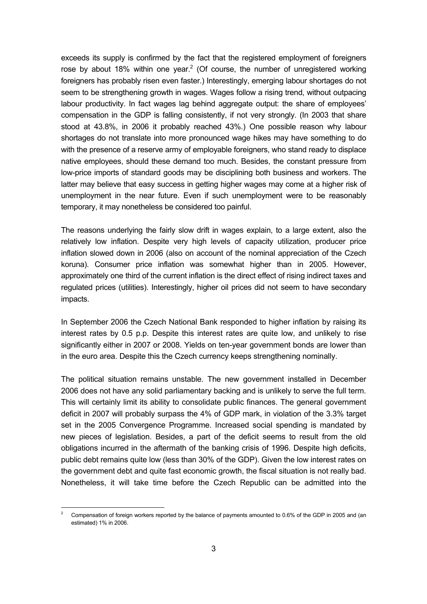exceeds its supply is confirmed by the fact that the registered employment of foreigners rose by about 18% within one year.<sup>2</sup> (Of course, the number of unregistered working foreigners has probably risen even faster.) Interestingly, emerging labour shortages do not seem to be strengthening growth in wages. Wages follow a rising trend, without outpacing labour productivity. In fact wages lag behind aggregate output: the share of employees' compensation in the GDP is falling consistently, if not very strongly. (In 2003 that share stood at 43.8%, in 2006 it probably reached 43%.) One possible reason why labour shortages do not translate into more pronounced wage hikes may have something to do with the presence of a reserve army of employable foreigners, who stand ready to displace native employees, should these demand too much. Besides, the constant pressure from low-price imports of standard goods may be disciplining both business and workers. The latter may believe that easy success in getting higher wages may come at a higher risk of unemployment in the near future. Even if such unemployment were to be reasonably temporary, it may nonetheless be considered too painful.

The reasons underlying the fairly slow drift in wages explain, to a large extent, also the relatively low inflation. Despite very high levels of capacity utilization, producer price inflation slowed down in 2006 (also on account of the nominal appreciation of the Czech koruna). Consumer price inflation was somewhat higher than in 2005. However, approximately one third of the current inflation is the direct effect of rising indirect taxes and regulated prices (utilities). Interestingly, higher oil prices did not seem to have secondary impacts.

In September 2006 the Czech National Bank responded to higher inflation by raising its interest rates by 0.5 p.p. Despite this interest rates are quite low, and unlikely to rise significantly either in 2007 or 2008. Yields on ten-year government bonds are lower than in the euro area. Despite this the Czech currency keeps strengthening nominally.

The political situation remains unstable. The new government installed in December 2006 does not have any solid parliamentary backing and is unlikely to serve the full term. This will certainly limit its ability to consolidate public finances. The general government deficit in 2007 will probably surpass the 4% of GDP mark, in violation of the 3.3% target set in the 2005 Convergence Programme. Increased social spending is mandated by new pieces of legislation. Besides, a part of the deficit seems to result from the old obligations incurred in the aftermath of the banking crisis of 1996. Despite high deficits, public debt remains quite low (less than 30% of the GDP). Given the low interest rates on the government debt and quite fast economic growth, the fiscal situation is not really bad. Nonetheless, it will take time before the Czech Republic can be admitted into the

l

<sup>2</sup> Compensation of foreign workers reported by the balance of payments amounted to 0.6% of the GDP in 2005 and (an estimated) 1% in 2006.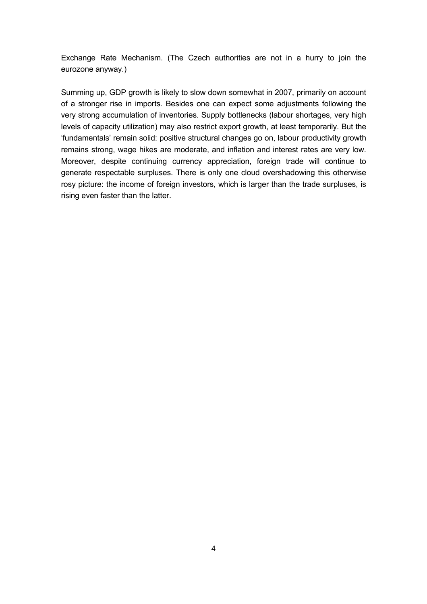Exchange Rate Mechanism. (The Czech authorities are not in a hurry to join the eurozone anyway.)

Summing up, GDP growth is likely to slow down somewhat in 2007, primarily on account of a stronger rise in imports. Besides one can expect some adjustments following the very strong accumulation of inventories. Supply bottlenecks (labour shortages, very high levels of capacity utilization) may also restrict export growth, at least temporarily. But the 'fundamentals' remain solid: positive structural changes go on, labour productivity growth remains strong, wage hikes are moderate, and inflation and interest rates are very low. Moreover, despite continuing currency appreciation, foreign trade will continue to generate respectable surpluses. There is only one cloud overshadowing this otherwise rosy picture: the income of foreign investors, which is larger than the trade surpluses, is rising even faster than the latter.